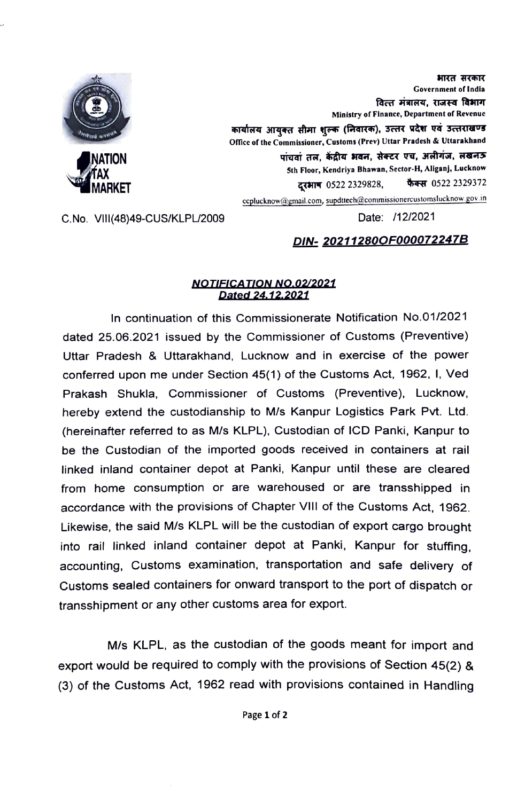

भारत सरकार Covernment of India वित्त मंत्रालय. राजस्व विभाग Ministry of Finance, Department of Revenue कार्यालय आयुक्त सीमा शुल्क (निवारक), उत्तर प्रदेश एवं उत्तराखण्ड Office of the Commissioner, Customs (Prev) Uttar Pradesh & Uttarakhand पांचवां तल, केंद्रीय भवन, सेक्टर एच, अलीगंज, लखनऊ Sth Floor, Kendriya Bhawan, Sector-H, Allganj, Lucknow दरभाष 0522 2329828, कैक्स 0522 2329372 ceplucknow@gmail.com, supdtech@commissionereustomslucknow gov.in

C.No. VIll(48)49-CUS/KLPL/2009 Date: /12/2021

## DIN- 20211280OFO00072247B

## NOTIFICATION NO.02/2021 Dated 24.12.2021

In continuation of this Commissionerate Notification No.01/2021 dated 25.06.2021 issued by the Commissioner of Customs (Preventive) Uttar Pradesh & Uttarakhand, Lucknow and in exercise of the power conferred upon me under Section 45(1) of the Customs Act, 1962, 1, Ved Prakash Shukla, Commissioner of Customs (Preventive), Lucknow, hereby extend the custodianship to M/s Kanpur Logistics Park Pvt. Ltd. (hereinafter referred to as M/s KLPL). Custodian of ICD Panki, Kanpur to be the Custodian of the imported goods received in containers at rail linked inland container depot at Panki, Kanpur until these are cleared from home consumption or are warehoused or are transshipped in accordance with the provisions of Chapter VIll of the Customs Act, 1962. Likewise, the said M/s KLPL will be the custodian of export cargo brought into rail linked inland container depot at Panki, Kanpur for stuffing. accounting, Customs examination, transportation and safe delivery of Customs sealed containers for onward transport to the port of dispatch or transshipment or any other customs area for export.

M/s KLPL, as the custodian of the goods meant for import and export would be required to comply with the provisions of Section 45(2) & (3) of the Customs Act, 1962 read with provisions contained in Handling